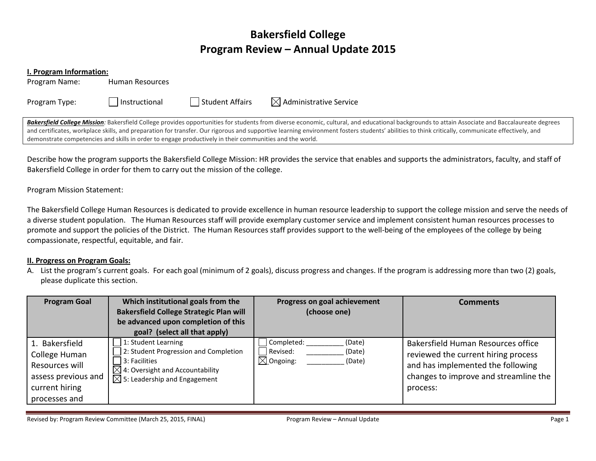# **Bakersfield College Program Review – Annual Update 2015**

#### **I. Program Information:**

Program Name: Human Resources

Program Type:  $\Box$  Instructional  $\Box$  Student Affairs  $\Box$  Administrative Service

Bakersfield College Mission: Bakersfield College provides opportunities for students from diverse economic, cultural, and educational backgrounds to attain Associate and Baccalaureate degrees and certificates, workplace skills, and preparation for transfer. Our rigorous and supportive learning environment fosters students' abilities to think critically, communicate effectively, and demonstrate competencies and skills in order to engage productively in their communities and the world.

Describe how the program supports the Bakersfield College Mission: HR provides the service that enables and supports the administrators, faculty, and staff of Bakersfield College in order for them to carry out the mission of the college.

Program Mission Statement:

The Bakersfield College Human Resources is dedicated to provide excellence in human resource leadership to support the college mission and serve the needs of a diverse student population. The Human Resources staff will provide exemplary customer service and implement consistent human resources processes to promote and support the policies of the District. The Human Resources staff provides support to the well-being of the employees of the college by being compassionate, respectful, equitable, and fair.

## **II. Progress on Program Goals:**

A. List the program's current goals. For each goal (minimum of 2 goals), discuss progress and changes. If the program is addressing more than two (2) goals, please duplicate this section.

| <b>Program Goal</b>                                                                                         | Which institutional goals from the<br><b>Bakersfield College Strategic Plan will</b><br>be advanced upon completion of this<br>goal? (select all that apply)                        | Progress on goal achievement<br>(choose one)                                 | Comments                                                                                                                                                            |
|-------------------------------------------------------------------------------------------------------------|-------------------------------------------------------------------------------------------------------------------------------------------------------------------------------------|------------------------------------------------------------------------------|---------------------------------------------------------------------------------------------------------------------------------------------------------------------|
| 1. Bakersfield<br>College Human<br>Resources will<br>assess previous and<br>current hiring<br>processes and | 1: Student Learning<br>2: Student Progression and Completion<br>3: Facilities<br>$\boxtimes$ 4: Oversight and Accountability<br>$\overline{\boxtimes}$ 5: Leadership and Engagement | Completed:<br>(Date)<br>Revised:<br>(Date)<br>$\boxtimes$ Ongoing:<br>(Date) | Bakersfield Human Resources office<br>reviewed the current hiring process<br>and has implemented the following<br>changes to improve and streamline the<br>process: |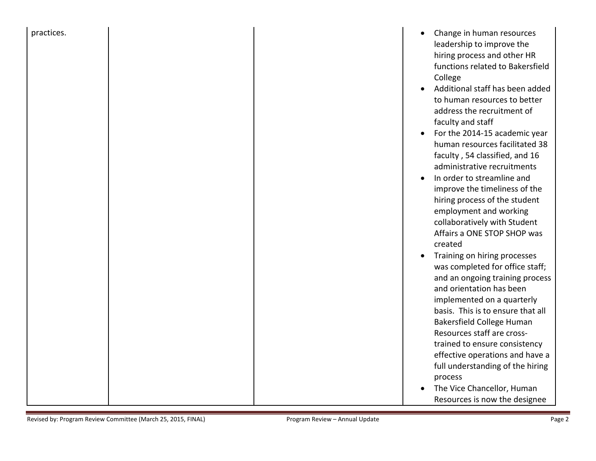| practices. |  | Change in human resources                                     |
|------------|--|---------------------------------------------------------------|
|            |  | leadership to improve the                                     |
|            |  | hiring process and other HR                                   |
|            |  | functions related to Bakersfield                              |
|            |  | College                                                       |
|            |  | Additional staff has been added                               |
|            |  | to human resources to better                                  |
|            |  | address the recruitment of                                    |
|            |  | faculty and staff                                             |
|            |  | For the 2014-15 academic year                                 |
|            |  | human resources facilitated 38                                |
|            |  | faculty, 54 classified, and 16<br>administrative recruitments |
|            |  | In order to streamline and                                    |
|            |  | improve the timeliness of the                                 |
|            |  | hiring process of the student                                 |
|            |  | employment and working                                        |
|            |  | collaboratively with Student                                  |
|            |  | Affairs a ONE STOP SHOP was                                   |
|            |  | created                                                       |
|            |  | Training on hiring processes                                  |
|            |  | was completed for office staff;                               |
|            |  | and an ongoing training process                               |
|            |  | and orientation has been                                      |
|            |  | implemented on a quarterly                                    |
|            |  | basis. This is to ensure that all                             |
|            |  | Bakersfield College Human                                     |
|            |  | Resources staff are cross-                                    |
|            |  | trained to ensure consistency                                 |
|            |  | effective operations and have a                               |
|            |  | full understanding of the hiring                              |
|            |  | process                                                       |
|            |  | The Vice Chancellor, Human                                    |
|            |  | Resources is now the designee                                 |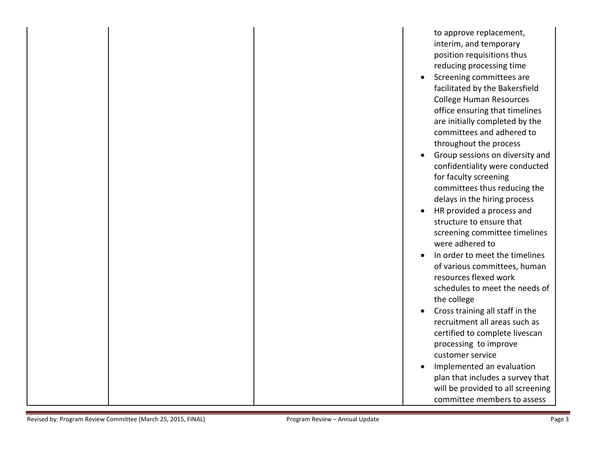|  | to approve replacement,           |
|--|-----------------------------------|
|  | interim, and temporary            |
|  | position requisitions thus        |
|  | reducing processing time          |
|  | Screening committees are          |
|  | facilitated by the Bakersfield    |
|  | <b>College Human Resources</b>    |
|  | office ensuring that timelines    |
|  | are initially completed by the    |
|  | committees and adhered to         |
|  | throughout the process            |
|  | Group sessions on diversity and   |
|  | confidentiality were conducted    |
|  | for faculty screening             |
|  | committees thus reducing the      |
|  | delays in the hiring process      |
|  | HR provided a process and         |
|  | structure to ensure that          |
|  | screening committee timelines     |
|  | were adhered to                   |
|  | In order to meet the timelines    |
|  | of various committees, human      |
|  | resources flexed work             |
|  | schedules to meet the needs of    |
|  | the college                       |
|  | Cross training all staff in the   |
|  | recruitment all areas such as     |
|  | certified to complete livescan    |
|  | processing to improve             |
|  | customer service                  |
|  | Implemented an evaluation         |
|  | plan that includes a survey that  |
|  | will be provided to all screening |
|  | committee members to assess       |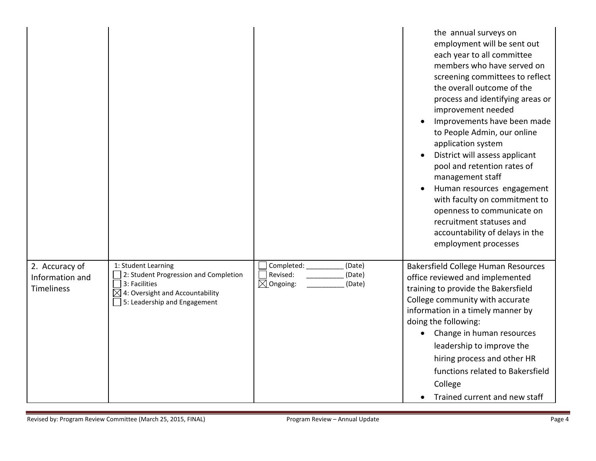|                                                        |                                                                                                                                                              |                                                                                      | the annual surveys on<br>employment will be sent out<br>each year to all committee<br>members who have served on<br>screening committees to reflect<br>the overall outcome of the<br>process and identifying areas or<br>improvement needed<br>Improvements have been made<br>to People Admin, our online<br>application system<br>District will assess applicant<br>pool and retention rates of<br>management staff<br>Human resources engagement<br>with faculty on commitment to<br>openness to communicate on<br>recruitment statuses and<br>accountability of delays in the<br>employment processes |
|--------------------------------------------------------|--------------------------------------------------------------------------------------------------------------------------------------------------------------|--------------------------------------------------------------------------------------|----------------------------------------------------------------------------------------------------------------------------------------------------------------------------------------------------------------------------------------------------------------------------------------------------------------------------------------------------------------------------------------------------------------------------------------------------------------------------------------------------------------------------------------------------------------------------------------------------------|
| 2. Accuracy of<br>Information and<br><b>Timeliness</b> | 1: Student Learning<br>2: Student Progression and Completion<br>3: Facilities<br>$\boxtimes$ 4: Oversight and Accountability<br>5: Leadership and Engagement | Completed: _______<br>(Date)<br>Revised:<br>(Date)<br>$\boxtimes$ Ongoing:<br>(Date) | Bakersfield College Human Resources<br>office reviewed and implemented<br>training to provide the Bakersfield<br>College community with accurate<br>information in a timely manner by<br>doing the following:<br>Change in human resources<br>leadership to improve the<br>hiring process and other HR<br>functions related to Bakersfield<br>College<br>Trained current and new staff                                                                                                                                                                                                                   |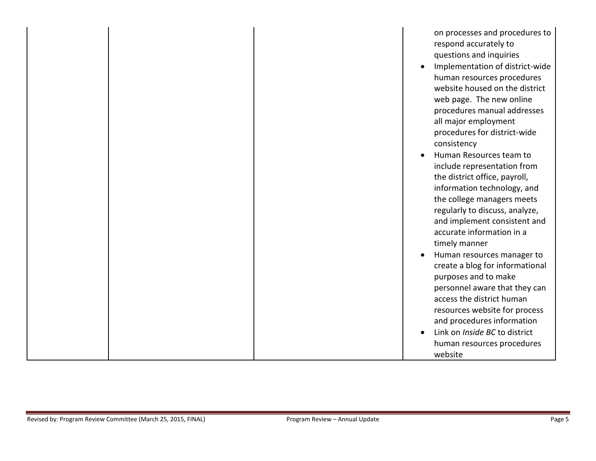| on processes and procedures to          |
|-----------------------------------------|
| respond accurately to                   |
| questions and inquiries                 |
| Implementation of district-wide         |
| human resources procedures              |
| website housed on the district          |
| web page. The new online                |
| procedures manual addresses             |
| all major employment                    |
| procedures for district-wide            |
| consistency                             |
| Human Resources team to                 |
| include representation from             |
| the district office, payroll,           |
| information technology, and             |
| the college managers meets              |
| regularly to discuss, analyze,          |
| and implement consistent and            |
| accurate information in a               |
| timely manner                           |
| Human resources manager to<br>$\bullet$ |
| create a blog for informational         |
| purposes and to make                    |
| personnel aware that they can           |
| access the district human               |
| resources website for process           |
| and procedures information              |
| Link on Inside BC to district           |
| human resources procedures              |
| website                                 |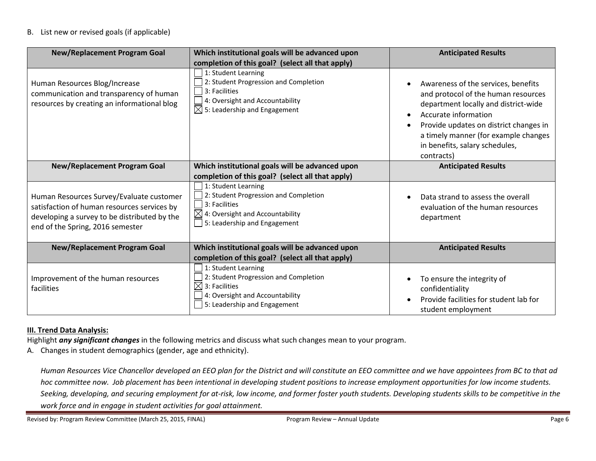## B. List new or revised goals (if applicable)

| <b>New/Replacement Program Goal</b>                                                                                                                                         | Which institutional goals will be advanced upon<br>completion of this goal? (select all that apply)                                                          | <b>Anticipated Results</b>                                                                                                                                                                                                                                                   |
|-----------------------------------------------------------------------------------------------------------------------------------------------------------------------------|--------------------------------------------------------------------------------------------------------------------------------------------------------------|------------------------------------------------------------------------------------------------------------------------------------------------------------------------------------------------------------------------------------------------------------------------------|
| Human Resources Blog/Increase<br>communication and transparency of human<br>resources by creating an informational blog                                                     | 1: Student Learning<br>2: Student Progression and Completion<br>3: Facilities<br>4: Oversight and Accountability<br>$\boxtimes$ 5: Leadership and Engagement | Awareness of the services, benefits<br>and protocol of the human resources<br>department locally and district-wide<br>Accurate information<br>Provide updates on district changes in<br>a timely manner (for example changes<br>in benefits, salary schedules,<br>contracts) |
| Which institutional goals will be advanced upon<br><b>New/Replacement Program Goal</b>                                                                                      |                                                                                                                                                              | <b>Anticipated Results</b>                                                                                                                                                                                                                                                   |
|                                                                                                                                                                             | completion of this goal? (select all that apply)                                                                                                             |                                                                                                                                                                                                                                                                              |
| Human Resources Survey/Evaluate customer<br>satisfaction of human resources services by<br>developing a survey to be distributed by the<br>end of the Spring, 2016 semester | 1: Student Learning<br>2: Student Progression and Completion<br>3: Facilities<br>$\boxtimes$ 4: Oversight and Accountability<br>5: Leadership and Engagement | Data strand to assess the overall<br>evaluation of the human resources<br>department                                                                                                                                                                                         |
| <b>New/Replacement Program Goal</b>                                                                                                                                         | Which institutional goals will be advanced upon                                                                                                              | <b>Anticipated Results</b>                                                                                                                                                                                                                                                   |
|                                                                                                                                                                             | completion of this goal? (select all that apply)                                                                                                             |                                                                                                                                                                                                                                                                              |
| Improvement of the human resources<br>facilities                                                                                                                            | 1: Student Learning<br>2: Student Progression and Completion<br>3: Facilities<br>4: Oversight and Accountability<br>5: Leadership and Engagement             | To ensure the integrity of<br>confidentiality<br>Provide facilities for student lab for<br>student employment                                                                                                                                                                |

## **III. Trend Data Analysis:**

Highlight *any significant changes* in the following metrics and discuss what such changes mean to your program.

A. Changes in student demographics (gender, age and ethnicity).

*Human Resources Vice Chancellor developed an EEO plan for the District and will constitute an EEO committee and we have appointees from BC to that ad hoc committee now. Job placement has been intentional in developing student positions to increase employment opportunities for low income students. Seeking, developing, and securing employment for at-risk, low income, and former foster youth students. Developing students skills to be competitive in the work force and in engage in student activities for goal attainment.*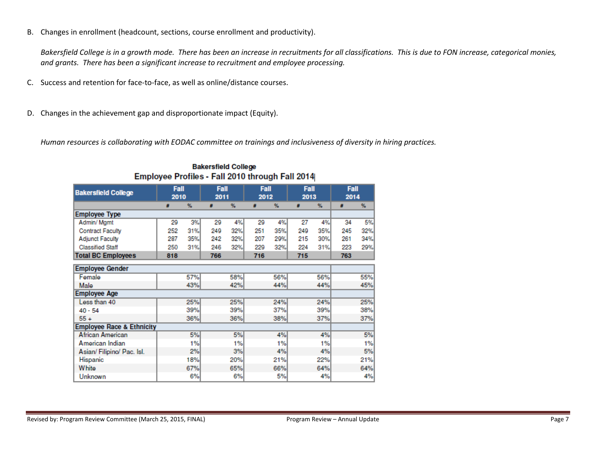B. Changes in enrollment (headcount, sections, course enrollment and productivity).

*Bakersfield College is in a growth mode. There has been an increase in recruitments for all classifications. This is due to FON increase, categorical monies, and grants. There has been a significant increase to recruitment and employee processing.*

- C. Success and retention for face-to-face, as well as online/distance courses.
- D. Changes in the achievement gap and disproportionate impact (Equity).

*Human resources is collaborating with EODAC committee on trainings and inclusiveness of diversity in hiring practices.* 

| Fall<br><b>Bakersfield College</b><br>2010 |     | Fall<br>2011 |     | Fall<br>2012 |     | Fall<br>2013 |     | Fall<br>2014 |     |     |
|--------------------------------------------|-----|--------------|-----|--------------|-----|--------------|-----|--------------|-----|-----|
|                                            | #   | $\%$         | #   | $\%$         | s   | %            | ä   | %            | s   | %   |
| <b>Employee Type</b>                       |     |              |     |              |     |              |     |              |     |     |
| Admin/Mgmt                                 | 29  | 3%           | 29  | 4%           | 29  | 4%           | 27  | 4%           | 34  | 5%  |
| <b>Contract Faculty</b>                    | 252 | 31%          | 249 | 32%          | 251 | 35%          | 249 | 35%          | 245 | 32% |
| <b>Adjunct Faculty</b>                     | 287 | 35%          | 242 | 32%          | 207 | 29%          | 215 | 30%          | 261 | 34% |
| <b>Classified Staff</b>                    | 250 | 31%          | 246 | 32%          | 229 | 32%          | 224 | 31%          | 223 | 29% |
| <b>Total BC Employees</b>                  | 818 |              | 766 |              | 716 |              | 715 |              | 763 |     |
| <b>Employee Gender</b>                     |     |              |     |              |     |              |     |              |     |     |
| Female                                     |     | 57%          |     | 58%          |     | 56%          |     | 56%          |     | 55% |
| Male                                       |     | 43%          |     | 42%          |     | 44%          |     | 44%          |     | 45% |
| <b>Employee Age</b>                        |     |              |     |              |     |              |     |              |     |     |
| Less than 40                               |     | 25%          |     | 25%          |     | 24%          |     | 24%          |     | 25% |
| $40 - 54$                                  |     | 39%          |     | 39%          | 37% |              | 39% |              | 38% |     |
| $55+$                                      | 36% |              |     | 36%          | 38% |              | 37% |              | 37% |     |
| <b>Employee Race &amp; Ethnicity</b>       |     |              |     |              |     |              |     |              |     |     |
| African American                           |     | 5%           |     | 5%           |     | 4%           |     | 4%           |     | 5%  |
| American Indian                            |     | 1%           |     | 1%           |     | 1%           |     | 1%           |     | 1%  |
| Asian/Filipino/Pac. Isl.                   | 2%  |              |     | 3%           |     | 4%           | 4%  |              |     | 5%  |
| Hispanic                                   | 18% |              |     | 20%          |     | 21%          |     | 22%          |     | 21% |
| White                                      | 67% |              |     | 65%          | 66% |              |     | 64%          |     | 64% |
| Unknown                                    | 6%  |              |     | 6%           |     | 5%           |     | 4%           |     | 4%  |

**Bakersfield College** Employee Profiles - Fall 2010 through Fall 2014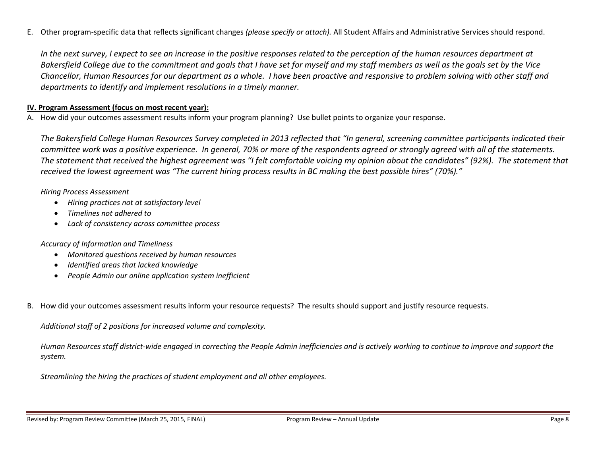E. Other program-specific data that reflects significant changes *(please specify or attach).* All Student Affairs and Administrative Services should respond.

*In the next survey, I expect to see an increase in the positive responses related to the perception of the human resources department at Bakersfield College due to the commitment and goals that I have set for myself and my staff members as well as the goals set by the Vice Chancellor, Human Resources for our department as a whole. I have been proactive and responsive to problem solving with other staff and departments to identify and implement resolutions in a timely manner.*

# **IV. Program Assessment (focus on most recent year):**

A. How did your outcomes assessment results inform your program planning? Use bullet points to organize your response.

*The Bakersfield College Human Resources Survey completed in 2013 reflected that "In general, screening committee participants indicated their committee work was a positive experience. In general, 70% or more of the respondents agreed or strongly agreed with all of the statements. The statement that received the highest agreement was "I felt comfortable voicing my opinion about the candidates" (92%). The statement that received the lowest agreement was "The current hiring process results in BC making the best possible hires" (70%)."*

*Hiring Process Assessment*

- *Hiring practices not at satisfactory level*
- *Timelines not adhered to*
- *Lack of consistency across committee process*

## *Accuracy of Information and Timeliness*

- *Monitored questions received by human resources*
- *Identified areas that lacked knowledge*
- *People Admin our online application system inefficient*
- B. How did your outcomes assessment results inform your resource requests? The results should support and justify resource requests.

*Additional staff of 2 positions for increased volume and complexity.*

*Human Resources staff district-wide engaged in correcting the People Admin inefficiencies and is actively working to continue to improve and support the system.*

*Streamlining the hiring the practices of student employment and all other employees.*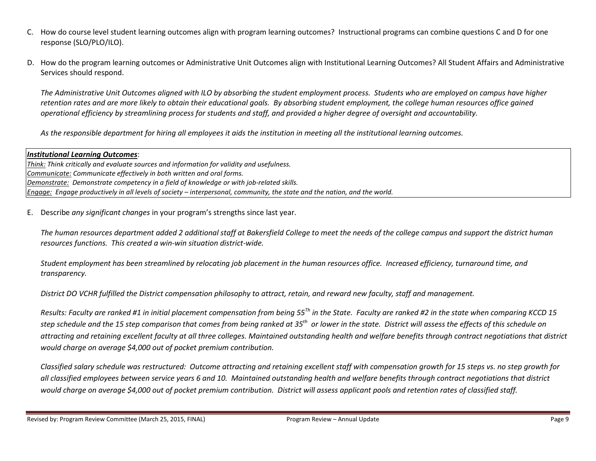- C. How do course level student learning outcomes align with program learning outcomes? Instructional programs can combine questions C and D for one response (SLO/PLO/ILO).
- D. How do the program learning outcomes or Administrative Unit Outcomes align with Institutional Learning Outcomes? All Student Affairs and Administrative Services should respond.

*The Administrative Unit Outcomes aligned with ILO by absorbing the student employment process. Students who are employed on campus have higher retention rates and are more likely to obtain their educational goals. By absorbing student employment, the college human resources office gained operational efficiency by streamlining process for students and staff, and provided a higher degree of oversight and accountability.*

*As the responsible department for hiring all employees it aids the institution in meeting all the institutional learning outcomes.*

## *Institutional Learning Outcomes*:

*Think: Think critically and evaluate sources and information for validity and usefulness. Communicate: Communicate effectively in both written and oral forms. Demonstrate: Demonstrate competency in a field of knowledge or with job-related skills. Engage: Engage productively in all levels of society – interpersonal, community, the state and the nation, and the world.*

E. Describe *any significant changes* in your program's strengths since last year.

*The human resources department added 2 additional staff at Bakersfield College to meet the needs of the college campus and support the district human resources functions. This created a win-win situation district-wide.*

*Student employment has been streamlined by relocating job placement in the human resources office. Increased efficiency, turnaround time, and transparency.*

*District DO VCHR fulfilled the District compensation philosophy to attract, retain, and reward new faculty, staff and management.*

*Results: Faculty are ranked #1 in initial placement compensation from being 55Th in the State. Faculty are ranked #2 in the state when comparing KCCD 15 step schedule and the 15 step comparison that comes from being ranked at 35th or lower in the state. District will assess the effects of this schedule on attracting and retaining excellent faculty at all three colleges. Maintained outstanding health and welfare benefits through contract negotiations that district would charge on average \$4,000 out of pocket premium contribution.* 

*Classified salary schedule was restructured: Outcome attracting and retaining excellent staff with compensation growth for 15 steps vs. no step growth for all classified employees between service years 6 and 10. Maintained outstanding health and welfare benefits through contract negotiations that district would charge on average \$4,000 out of pocket premium contribution. District will assess applicant pools and retention rates of classified staff.*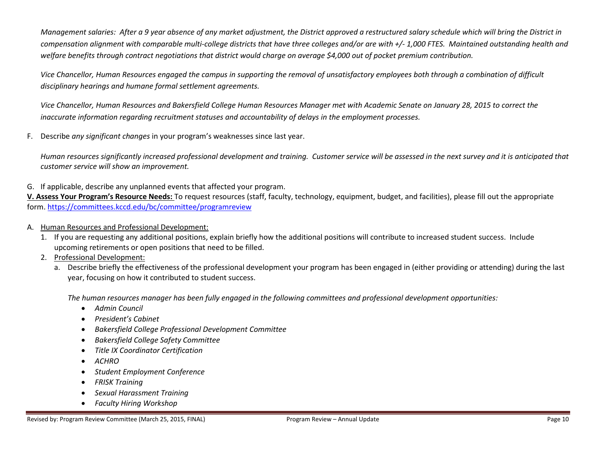*Management salaries: After a 9 year absence of any market adjustment, the District approved a restructured salary schedule which will bring the District in compensation alignment with comparable multi-college districts that have three colleges and/or are with +/- 1,000 FTES. Maintained outstanding health and welfare benefits through contract negotiations that district would charge on average \$4,000 out of pocket premium contribution.* 

*Vice Chancellor, Human Resources engaged the campus in supporting the removal of unsatisfactory employees both through a combination of difficult disciplinary hearings and humane formal settlement agreements.*

*Vice Chancellor, Human Resources and Bakersfield College Human Resources Manager met with Academic Senate on January 28, 2015 to correct the inaccurate information regarding recruitment statuses and accountability of delays in the employment processes.*

F. Describe *any significant changes* in your program's weaknesses since last year.

*Human resources significantly increased professional development and training. Customer service will be assessed in the next survey and it is anticipated that customer service will show an improvement.*

G. If applicable, describe any unplanned events that affected your program.

**V. Assess Your Program's Resource Needs:** To request resources (staff, faculty, technology, equipment, budget, and facilities), please fill out the appropriate form.<https://committees.kccd.edu/bc/committee/programreview>

- A. Human Resources and Professional Development:
	- 1. If you are requesting any additional positions, explain briefly how the additional positions will contribute to increased student success. Include upcoming retirements or open positions that need to be filled.
	- 2. Professional Development:
		- a. Describe briefly the effectiveness of the professional development your program has been engaged in (either providing or attending) during the last year, focusing on how it contributed to student success.

*The human resources manager has been fully engaged in the following committees and professional development opportunities:*

- *Admin Council*
- *President's Cabinet*
- *Bakersfield College Professional Development Committee*
- *Bakersfield College Safety Committee*
- *Title IX Coordinator Certification*
- *ACHRO*
- *Student Employment Conference*
- *FRISK Training*
- *Sexual Harassment Training*
- *Faculty Hiring Workshop*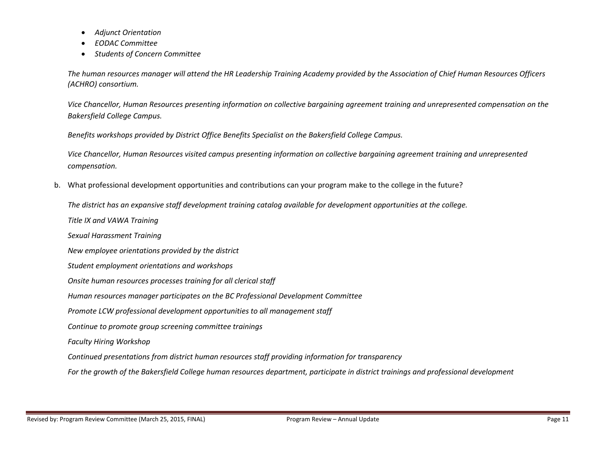- *Adjunct Orientation*
- *EODAC Committee*
- *Students of Concern Committee*

*The human resources manager will attend the HR Leadership Training Academy provided by the Association of Chief Human Resources Officers (ACHRO) consortium.*

*Vice Chancellor, Human Resources presenting information on collective bargaining agreement training and unrepresented compensation on the Bakersfield College Campus.*

*Benefits workshops provided by District Office Benefits Specialist on the Bakersfield College Campus.*

*Vice Chancellor, Human Resources visited campus presenting information on collective bargaining agreement training and unrepresented compensation.*

b. What professional development opportunities and contributions can your program make to the college in the future?

*The district has an expansive staff development training catalog available for development opportunities at the college.*

*Title IX and VAWA Training*

*Sexual Harassment Training*

*New employee orientations provided by the district* 

- *Student employment orientations and workshops*
- *Onsite human resources processes training for all clerical staff*
- *Human resources manager participates on the BC Professional Development Committee*
- *Promote LCW professional development opportunities to all management staff*

*Continue to promote group screening committee trainings*

*Faculty Hiring Workshop*

*Continued presentations from district human resources staff providing information for transparency*

*For the growth of the Bakersfield College human resources department, participate in district trainings and professional development*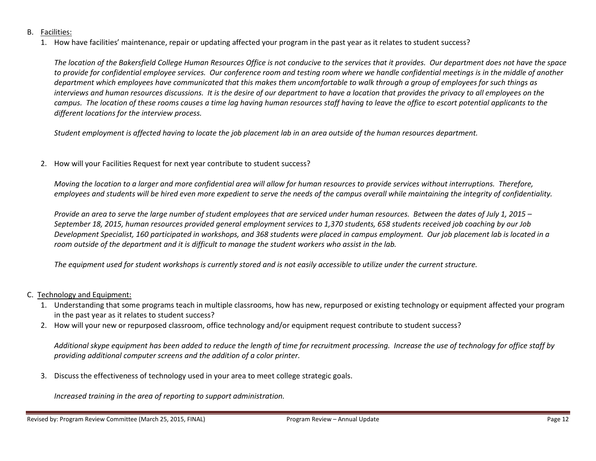- B. Facilities:
	- 1. How have facilities' maintenance, repair or updating affected your program in the past year as it relates to student success?

The location of the Bakersfield College Human Resources Office is not conducive to the services that it provides. Our department does not have the space *to provide for confidential employee services. Our conference room and testing room where we handle confidential meetings is in the middle of another department which employees have communicated that this makes them uncomfortable to walk through a group of employees for such things as interviews and human resources discussions. It is the desire of our department to have a location that provides the privacy to all employees on the campus. The location of these rooms causes a time lag having human resources staff having to leave the office to escort potential applicants to the different locations for the interview process.*

*Student employment is affected having to locate the job placement lab in an area outside of the human resources department.*

2. How will your Facilities Request for next year contribute to student success?

*Moving the location to a larger and more confidential area will allow for human resources to provide services without interruptions. Therefore, employees and students will be hired even more expedient to serve the needs of the campus overall while maintaining the integrity of confidentiality.*

*Provide an area to serve the large number of student employees that are serviced under human resources. Between the dates of July 1, 2015 – September 18, 2015, human resources provided general employment services to 1,370 students, 658 students received job coaching by our Job Development Specialist, 160 participated in workshops, and 368 students were placed in campus employment. Our job placement lab is located in a room outside of the department and it is difficult to manage the student workers who assist in the lab.* 

*The equipment used for student workshops is currently stored and is not easily accessible to utilize under the current structure.*

- C. Technology and Equipment:
	- 1. Understanding that some programs teach in multiple classrooms, how has new, repurposed or existing technology or equipment affected your program in the past year as it relates to student success?
	- 2. How will your new or repurposed classroom, office technology and/or equipment request contribute to student success?

*Additional skype equipment has been added to reduce the length of time for recruitment processing. Increase the use of technology for office staff by providing additional computer screens and the addition of a color printer.*

3. Discuss the effectiveness of technology used in your area to meet college strategic goals.

*Increased training in the area of reporting to support administration.*